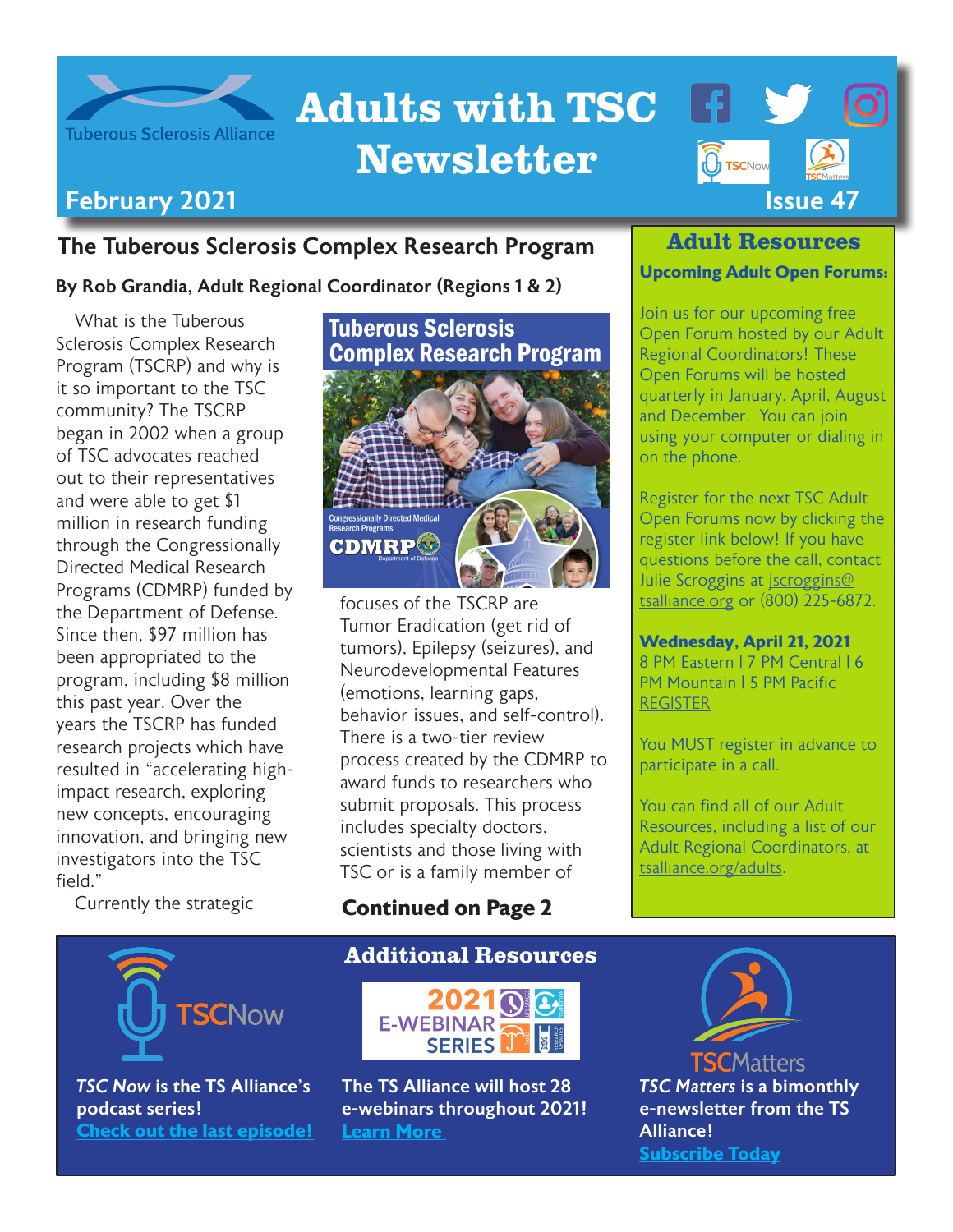

## Adults with TSC Newsletter



#### The Tuberous Sclerosis Complex Research Program

By Rob Grandia, Adult Regional Coordinator (Regions 1 & 2)

What is the Tuberous Sclerosis Complex Research Program (TSCRP) and why is it so important to the TSC community? The TSCRP began in 2002 when a group of TSC advocates reached out to their representatives and were able to get \$1 million in research funding through the Congressionally Directed Medical Research Programs (CDMRP) funded by the Department of Defense. Since then, \$97 million has been appropriated to the program, including \$8 million this past year. Over the years the TSCRP has funded research projects which have resulted in "accelerating highimpact research, exploring new concepts, encouraging innovation, and bringing new investigators into the TSC field."

Currently the strategic



focuses of the TSCRP are Tumor Eradication (get rid of tumors), Epilepsy (seizures), and Neurodevelopmental Features (emotions, learning gaps, behavior issues, and self-control). There is a two-tier review process created by the CDMRP to award funds to researchers who submit proposals. This process includes specialty doctors, scientists and those living with TSC or is a family member of

#### **Continued on Page 2**

# **SCNow**

*TSC Now* is the TS Alliance's podcast series! **[Check out the last episode!](https://tsc-now.blubrry.net/)**

#### Additional Resources



The TS Alliance will host 28 e-webinars throughout 2021! **[Learn More](https://www.tsalliance.org/2021-e-webinar-series/)** 

#### Adult Resources

#### **Upcoming Adult Open Forums:**

Join us for our upcoming free Open Forum hosted by our Adult Regional Coordinators! These Open Forums will be hosted quarterly in January, April, August and December. You can join using your computer or dialing in on the phone.

Register for the next TSC Adult Open Forums now by clicking the register link below! If you have questions before the call, contact Julie Scroggins at [jscroggins@](mailto:jscroggins%40tsalliance.org?subject=) [tsalliance.org](mailto:jscroggins%40tsalliance.org?subject=) or (800) 225-6872.

#### **Wednesday, April 21, 2021**

8 PM Eastern | 7 PM Central | 6 PM Mountain | 5 PM Pacific [REGISTER](https://us02web.zoom.us/meeting/register/tZMucOCrpj8sH9MaMkvAFKltKnLINgDxfpxi)

You MUST register in advance to participate in a call.

You can find all of our Adult Resources, including a list of our Adult Regional Coordinators, at [tsalliance.org/adults.](https://www.tsalliance.org/individuals-families/adults/)



*TSC Matters* is a bimonthly e-newsletter from the TS Alliance! **[Subscribe Today](https://www.tsalliance.org/tsc-matters-opt-in/)**